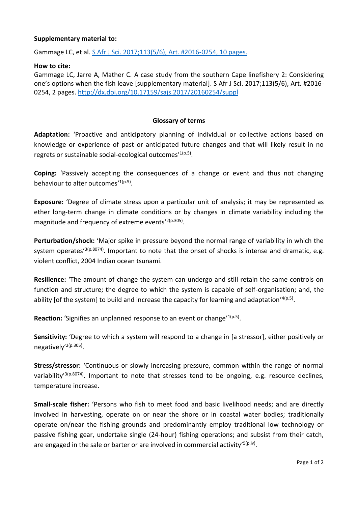## **Supplementary material to:**

Gammage LC, et al. [S Afr J Sci. 2017;113\(5/6\), Art. #2016-0254, 10](http://dx.doi.org/10.17159/sajs.2017/20160254) pages.

## **How to cite:**

Gammage LC, Jarre A, Mather C. A case study from the southern Cape linefishery 2: Considering one's options when the fish leave [supplementary material]. S Afr J Sci. 2017;113(5/6), Art. #2016- 0254, 2 pages.<http://dx.doi.org/10.17159/sajs.2017/20160254/suppl>

## **Glossary of terms**

**Adaptation:** 'Proactive and anticipatory planning of individual or collective actions based on knowledge or experience of past or anticipated future changes and that will likely result in no regrets or sustainable social-ecological outcomes'<sup>1(p.5)</sup>.

**Coping:** 'Passively accepting the consequences of a change or event and thus not changing behaviour to alter outcomes'<sup>1(p.5)</sup>.

**Exposure:** 'Degree of climate stress upon a particular unit of analysis; it may be represented as ether long-term change in climate conditions or by changes in climate variability including the magnitude and frequency of extreme events'<sup>2(p.305)</sup>.

**Perturbation/shock:** 'Major spike in pressure beyond the normal range of variability in which the system operates<sup>'3(p.8074)</sup>. Important to note that the onset of shocks is intense and dramatic, e.g. violent conflict, 2004 Indian ocean tsunami.

**Resilience:** 'The amount of change the system can undergo and still retain the same controls on function and structure; the degree to which the system is capable of self-organisation; and, the ability [of the system] to build and increase the capacity for learning and adaptation'4(p.5).

Reaction: 'Signifies an unplanned response to an event or change'<sup>1(p.5)</sup>.

**Sensitivity:** 'Degree to which a system will respond to a change in [a stressor], either positively or negatively'<sup>2(p.305)</sup>.

**Stress/stressor:** 'Continuous or slowly increasing pressure, common within the range of normal variability<sup>'3(p.8074)</sup>. Important to note that stresses tend to be ongoing, e.g. resource declines, temperature increase.

**Small-scale fisher:** 'Persons who fish to meet food and basic livelihood needs; and are directly involved in harvesting, operate on or near the shore or in coastal water bodies; traditionally operate on/near the fishing grounds and predominantly employ traditional low technology or passive fishing gear, undertake single (24-hour) fishing operations; and subsist from their catch, are engaged in the sale or barter or are involved in commercial activity'<sup>5(p.iv)</sup>.